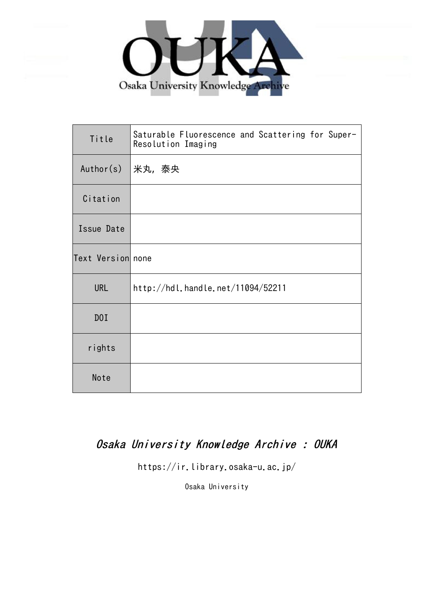

| Title             | Saturable Fluorescence and Scattering for Super-<br>Resolution Imaging |
|-------------------|------------------------------------------------------------------------|
| Author(s)         | 米丸,泰央                                                                  |
| Citation          |                                                                        |
| Issue Date        |                                                                        |
| Text Version none |                                                                        |
| <b>URL</b>        | http://hdl.handle.net/11094/52211                                      |
| D0I               |                                                                        |
| rights            |                                                                        |
| Note              |                                                                        |

## Osaka University Knowledge Archive : OUKA

https://ir.library.osaka-u.ac.jp/

Osaka University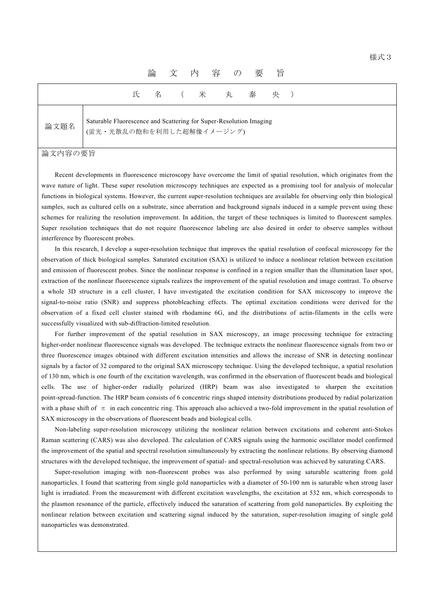|      |                                                                                                 | 論 | 文      | 内容の要 |       | 旨 |  |  |
|------|-------------------------------------------------------------------------------------------------|---|--------|------|-------|---|--|--|
|      |                                                                                                 |   | 氏名 (米丸 |      | 泰 央 ) |   |  |  |
| 論文題名 | Saturable Fluorescence and Scattering for Super-Resolution Imaging<br>(蛍光・光散乱の飽和を利用した超解像イメージング) |   |        |      |       |   |  |  |

## 論文内容の要旨

Recent developments in fluorescence microscopy have overcome the limit of spatial resolution, which originates from the wave nature of light. These super resolution microscopy techniques are expected as a promising tool for analysis of molecular functions in biological systems. However, the current super-resolution techniques are available for observing only thin biological samples, such as cultured cells on a substrate, since aberration and background signals induced in a sample prevent using these schemes for realizing the resolution improvement. In addition, the target of these techniques is limited to fluorescent samples. Super resolution techniques that do not require fluorescence labeling are also desired in order to observe samples without interference by fluorescent probes.

In this research, I develop a super-resolution technique that improves the spatial resolution of confocal microscopy for the observation of thick biological samples. Saturated excitation (SAX) is utilized to induce a nonlinear relation between excitation and emission of fluorescent probes. Since the nonlinear response is confined in a region smaller than the illumination laser spot, extraction of the nonlinear fluorescence signals realizes the improvement of the spatial resolution and image contrast. To observe a whole 3D structure in a cell cluster, I have investigated the excitation condition for SAX microscopy to improve the signal-to-noise ratio (SNR) and suppress photobleaching effects. The optimal excitation conditions were derived for the observation of a fixed cell cluster stained with rhodamine 6G, and the distributions of actin-filaments in the cells were successfully visualized with sub-diffraction-limited resolution.

For further improvement of the spatial resolution in SAX microscopy, an image processing technique for extracting higher-order nonlinear fluorescence signals was developed. The technique extracts the nonlinear fluorescence signals from two or three fluorescence images obtained with different excitation intensities and allows the increase of SNR in detecting nonlinear signals by a factor of 32 compared to the original SAX microscopy technique. Using the developed technique, a spatial resolution of 130 nm, which is one fourth of the excitation wavelength, was confirmed in the observation of fluorescent beads and biological cells. The use of higher-order radially polarized (HRP) beam was also investigated to sharpen the excitation point-spread-function. The HRP beam consists of 6 concentric rings shaped intensity distributions produced by radial polarization with a phase shift of  $\pi$  in each concentric ring. This approach also achieved a two-fold improvement in the spatial resolution of SAX microscopy in the observations of fluorescent beads and biological cells.

Non-labeling super-resolution microscopy utilizing the nonlinear relation between excitations and coherent anti-Stokes Raman scattering (CARS) was also developed. The calculation of CARS signals using the harmonic oscillator model confirmed the improvement of the spatial and spectral resolution simultaneously by extracting the nonlinear relations. By observing diamond structures with the developed technique, the improvement of spatial- and spectral-resolution was achieved by saturating CARS.

Super-resolution imaging with non-fluorescent probes was also performed by using saturable scattering from gold nanoparticles. I found that scattering from single gold nanoparticles with a diameter of 50-100 nm is saturable when strong laser light is irradiated. From the measurement with different excitation wavelengths, the excitation at 532 nm, which corresponds to the plasmon resonance of the particle, effectively induced the saturation of scattering from gold nanoparticles. By exploiting the nonlinear relation between excitation and scattering signal induced by the saturation, super-resolution imaging of single gold nanoparticles was demonstrated.